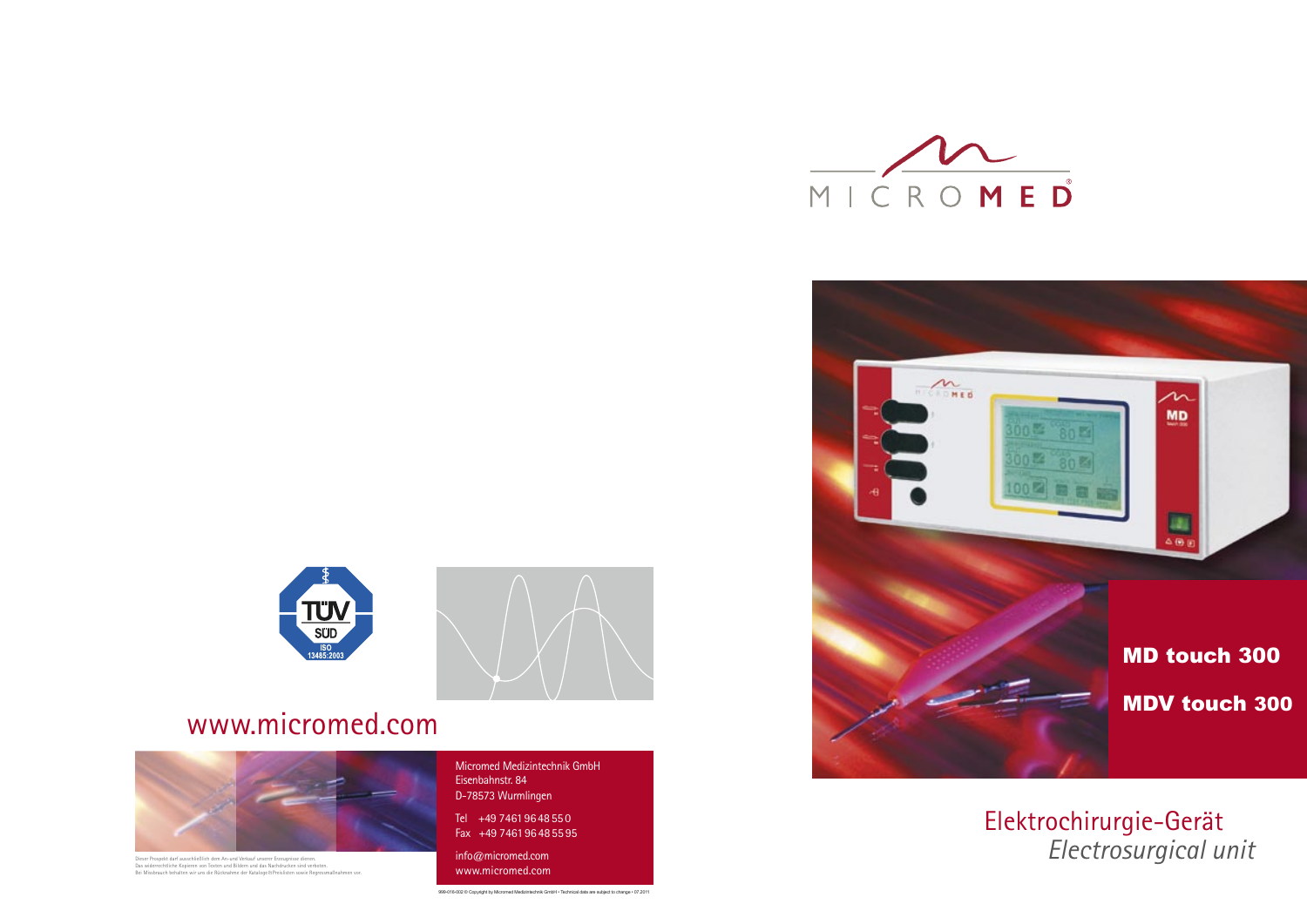Micromed Medizintechnik GmbH Eisenbahnstr. 84 D-78573 Wurmlingen

Tel +49 7461 96 48 55 0 Fax +49 7461 96 48 55 95

info@micromed.com www.micromed.com



## www.micromed.com



Dieser Prospekt darf ausschließlich dem An-und Verkauf unserer Erzeugnisse dienen.<br>Das widerrechtliche Kopieren von Texten und Bildern und das Nachdrucken sind verboten.<br>Bei Missbrauch behalten wir uns die Rücknahme der Ka

999-016-002 © Copyright by Micromed Medizintechnik GmbH • Technical data are subject to change • 07.2011

Elektrochirurgie-Gerät  *Electrosurgical unit*